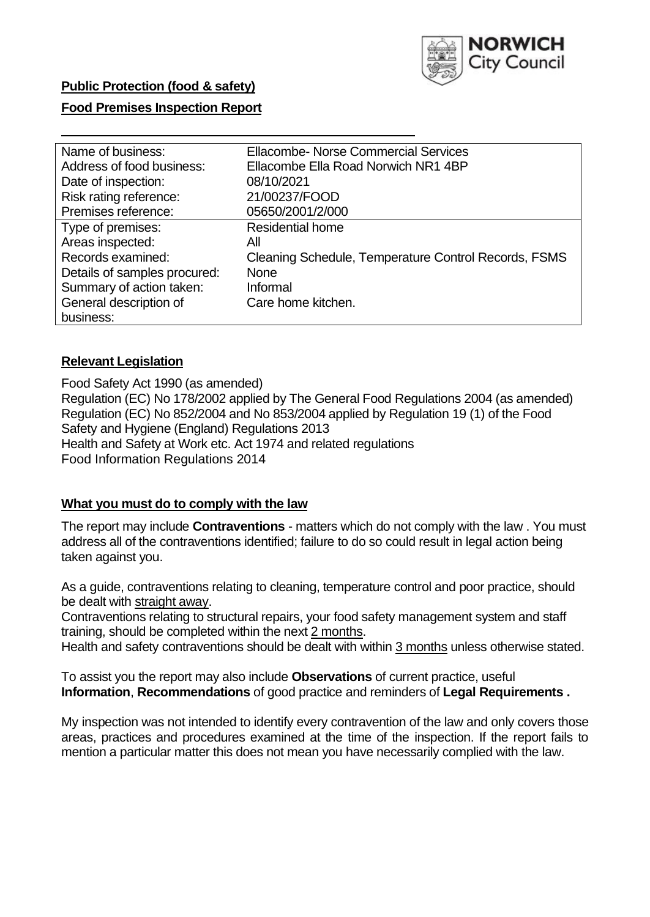

# **Public Protection (food & safety)**

### **Food Premises Inspection Report**

| Name of business:            | <b>Ellacombe- Norse Commercial Services</b>          |  |  |  |
|------------------------------|------------------------------------------------------|--|--|--|
| Address of food business:    | Ellacombe Ella Road Norwich NR1 4BP                  |  |  |  |
| Date of inspection:          | 08/10/2021                                           |  |  |  |
| Risk rating reference:       | 21/00237/FOOD                                        |  |  |  |
| Premises reference:          | 05650/2001/2/000                                     |  |  |  |
| Type of premises:            | <b>Residential home</b>                              |  |  |  |
| Areas inspected:             | All                                                  |  |  |  |
| Records examined:            | Cleaning Schedule, Temperature Control Records, FSMS |  |  |  |
| Details of samples procured: | <b>None</b>                                          |  |  |  |
| Summary of action taken:     | Informal                                             |  |  |  |
| General description of       | Care home kitchen.                                   |  |  |  |
| business:                    |                                                      |  |  |  |

### **Relevant Legislation**

Food Safety Act 1990 (as amended) Regulation (EC) No 178/2002 applied by The General Food Regulations 2004 (as amended) Regulation (EC) No 852/2004 and No 853/2004 applied by Regulation 19 (1) of the Food Safety and Hygiene (England) Regulations 2013 Health and Safety at Work etc. Act 1974 and related regulations Food Information Regulations 2014

### **What you must do to comply with the law**

The report may include **Contraventions** - matters which do not comply with the law . You must address all of the contraventions identified; failure to do so could result in legal action being taken against you.

As a guide, contraventions relating to cleaning, temperature control and poor practice, should be dealt with straight away.

Contraventions relating to structural repairs, your food safety management system and staff training, should be completed within the next 2 months.

Health and safety contraventions should be dealt with within 3 months unless otherwise stated.

To assist you the report may also include **Observations** of current practice, useful **Information**, **Recommendations** of good practice and reminders of **Legal Requirements .**

My inspection was not intended to identify every contravention of the law and only covers those areas, practices and procedures examined at the time of the inspection. If the report fails to mention a particular matter this does not mean you have necessarily complied with the law.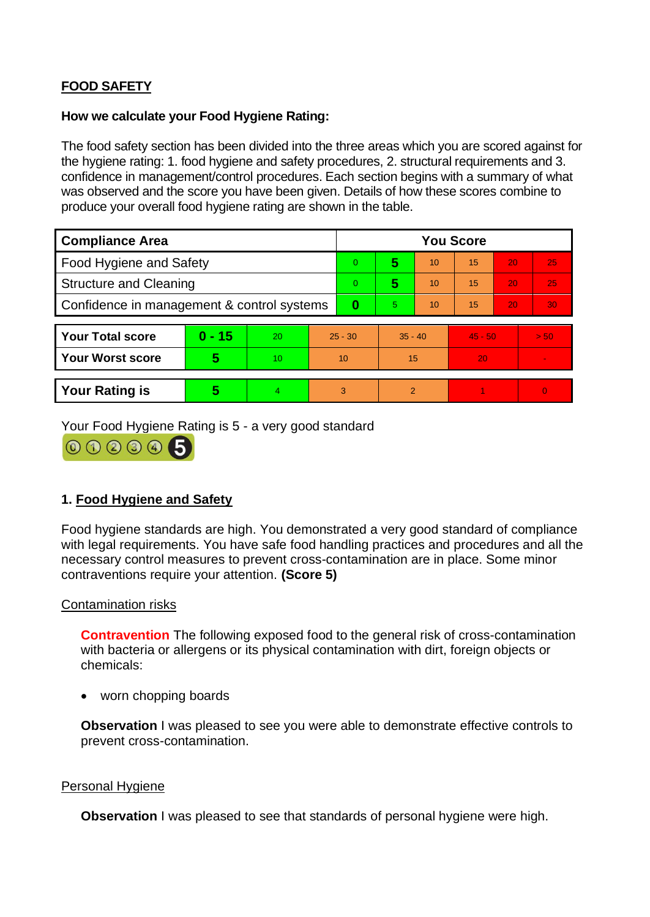# **FOOD SAFETY**

## **How we calculate your Food Hygiene Rating:**

The food safety section has been divided into the three areas which you are scored against for the hygiene rating: 1. food hygiene and safety procedures, 2. structural requirements and 3. confidence in management/control procedures. Each section begins with a summary of what was observed and the score you have been given. Details of how these scores combine to produce your overall food hygiene rating are shown in the table.

| <b>Compliance Area</b>                     |          |                |                | <b>You Score</b> |                |    |           |    |                |  |  |
|--------------------------------------------|----------|----------------|----------------|------------------|----------------|----|-----------|----|----------------|--|--|
| <b>Food Hygiene and Safety</b>             |          |                |                | $\Omega$         | 5              | 10 | 15        | 20 | 25             |  |  |
| <b>Structure and Cleaning</b>              |          |                | $\overline{0}$ | 5                | 10             | 15 | 20        | 25 |                |  |  |
| Confidence in management & control systems |          |                | $\bf{0}$       | 5                | 10             | 15 | 20        | 30 |                |  |  |
|                                            |          |                |                |                  |                |    |           |    |                |  |  |
| <b>Your Total score</b>                    | $0 - 15$ | 20             | $25 - 30$      |                  | $35 - 40$      |    | $45 - 50$ |    | > 50           |  |  |
| <b>Your Worst score</b>                    | 5        | 10             | 10             |                  | 15             |    | 20        |    |                |  |  |
|                                            |          |                |                |                  |                |    |           |    |                |  |  |
| <b>Your Rating is</b>                      | 5        | $\overline{4}$ | 3              |                  | $\overline{2}$ |    |           |    | $\overline{0}$ |  |  |

Your Food Hygiene Rating is 5 - a very good standard



## **1. Food Hygiene and Safety**

Food hygiene standards are high. You demonstrated a very good standard of compliance with legal requirements. You have safe food handling practices and procedures and all the necessary control measures to prevent cross-contamination are in place. Some minor contraventions require your attention. **(Score 5)**

## Contamination risks

**Contravention** The following exposed food to the general risk of cross-contamination with bacteria or allergens or its physical contamination with dirt, foreign objects or chemicals:

• worn chopping boards

**Observation** I was pleased to see you were able to demonstrate effective controls to prevent cross-contamination.

## Personal Hygiene

**Observation** I was pleased to see that standards of personal hygiene were high.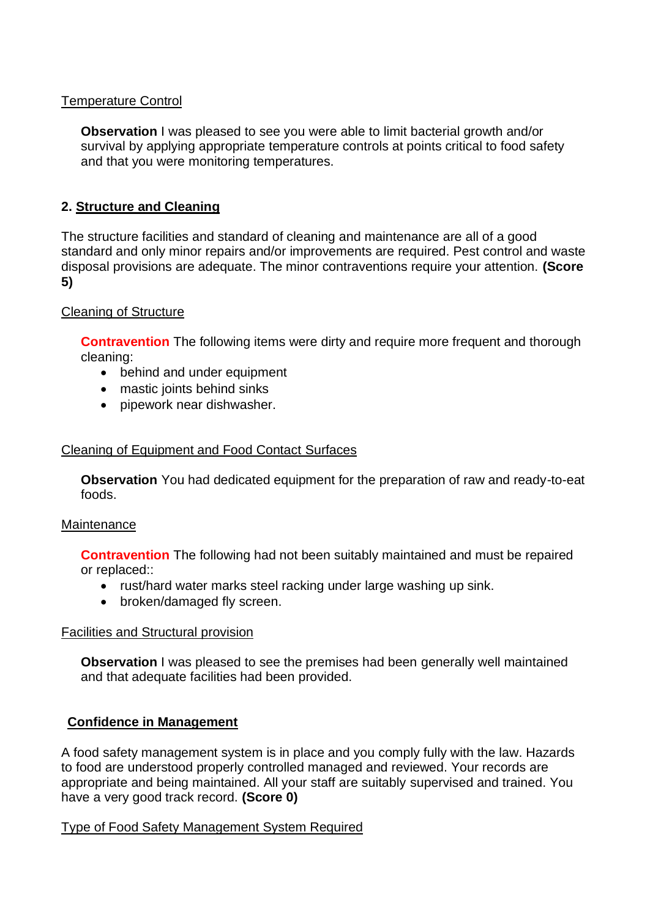## Temperature Control

**Observation** I was pleased to see you were able to limit bacterial growth and/or survival by applying appropriate temperature controls at points critical to food safety and that you were monitoring temperatures.

## **2. Structure and Cleaning**

The structure facilities and standard of cleaning and maintenance are all of a good standard and only minor repairs and/or improvements are required. Pest control and waste disposal provisions are adequate. The minor contraventions require your attention. **(Score 5)**

## Cleaning of Structure

**Contravention** The following items were dirty and require more frequent and thorough cleaning:

- behind and under equipment
- mastic joints behind sinks
- pipework near dishwasher.

## Cleaning of Equipment and Food Contact Surfaces

**Observation** You had dedicated equipment for the preparation of raw and ready-to-eat foods.

### **Maintenance**

**Contravention** The following had not been suitably maintained and must be repaired or replaced::

- rust/hard water marks steel racking under large washing up sink.
- broken/damaged fly screen.

## Facilities and Structural provision

**Observation** I was pleased to see the premises had been generally well maintained and that adequate facilities had been provided.

## **Confidence in Management**

A food safety management system is in place and you comply fully with the law. Hazards to food are understood properly controlled managed and reviewed. Your records are appropriate and being maintained. All your staff are suitably supervised and trained. You have a very good track record. **(Score 0)**

## Type of Food Safety Management System Required